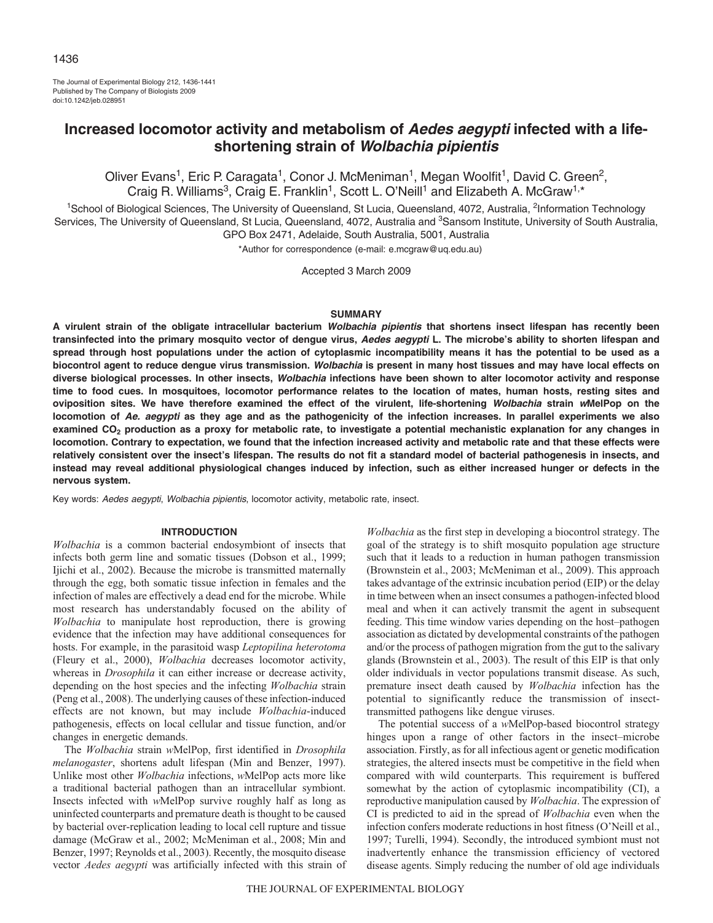The Journal of Experimental Biology 212, 1436-1441 Published by The Company of Biologists 2009 doi:10.1242/jeb.028951

# **Increased locomotor activity and metabolism of Aedes aegypti infected with a lifeshortening strain of Wolbachia pipientis**

Oliver Evans<sup>1</sup>, Eric P. Caragata<sup>1</sup>, Conor J. McMeniman<sup>1</sup>, Megan Woolfit<sup>1</sup>, David C. Green<sup>2</sup>, Craig R. Williams<sup>3</sup>, Craig E. Franklin<sup>1</sup>, Scott L. O'Neill<sup>1</sup> and Elizabeth A. McGraw<sup>1,\*</sup>

<sup>1</sup>School of Biological Sciences, The University of Queensland, St Lucia, Queensland, 4072, Australia, <sup>2</sup>Information Technology Services, The University of Queensland, St Lucia, Queensland, 4072, Australia and <sup>3</sup>Sansom Institute, University of South Australia, GPO Box 2471, Adelaide, South Australia, 5001, Australia

\*Author for correspondence (e-mail: e.mcgraw@uq.edu.au)

Accepted 3 March 2009

## **SUMMARY**

**A virulent strain of the obligate intracellular bacterium Wolbachia pipientis that shortens insect lifespan has recently been transinfected into the primary mosquito vector of dengue virus, Aedes aegypti L. The microbe's ability to shorten lifespan and spread through host populations under the action of cytoplasmic incompatibility means it has the potential to be used as a biocontrol agent to reduce dengue virus transmission. Wolbachia is present in many host tissues and may have local effects on diverse biological processes. In other insects, Wolbachia infections have been shown to alter locomotor activity and response time to food cues. In mosquitoes, locomotor performance relates to the location of mates, human hosts, resting sites and oviposition sites. We have therefore examined the effect of the virulent, life-shortening Wolbachia strain wMelPop on the locomotion of Ae. aegypti as they age and as the pathogenicity of the infection increases. In parallel experiments we also examined CO2 production as a proxy for metabolic rate, to investigate a potential mechanistic explanation for any changes in locomotion. Contrary to expectation, we found that the infection increased activity and metabolic rate and that these effects were relatively consistent over the insect's lifespan. The results do not fit a standard model of bacterial pathogenesis in insects, and instead may reveal additional physiological changes induced by infection, such as either increased hunger or defects in the nervous system.**

Key words: Aedes aegypti, Wolbachia pipientis, locomotor activity, metabolic rate, insect.

### **INTRODUCTION**

*Wolbachia* is a common bacterial endosymbiont of insects that infects both germ line and somatic tissues (Dobson et al., 1999; Ijichi et al., 2002). Because the microbe is transmitted maternally through the egg, both somatic tissue infection in females and the infection of males are effectively a dead end for the microbe. While most research has understandably focused on the ability of *Wolbachia* to manipulate host reproduction, there is growing evidence that the infection may have additional consequences for hosts. For example, in the parasitoid wasp *Leptopilina heterotoma* (Fleury et al., 2000), *Wolbachia* decreases locomotor activity, whereas in *Drosophila* it can either increase or decrease activity, depending on the host species and the infecting *Wolbachia* strain (Peng et al., 2008). The underlying causes of these infection-induced effects are not known, but may include *Wolbachia*-induced pathogenesis, effects on local cellular and tissue function, and/or changes in energetic demands.

The *Wolbachia* strain *w*MelPop, first identified in *Drosophila melanogaster*, shortens adult lifespan (Min and Benzer, 1997). Unlike most other *Wolbachia* infections, *w*MelPop acts more like a traditional bacterial pathogen than an intracellular symbiont. Insects infected with *w*MelPop survive roughly half as long as uninfected counterparts and premature death is thought to be caused by bacterial over-replication leading to local cell rupture and tissue damage (McGraw et al., 2002; McMeniman et al., 2008; Min and Benzer, 1997; Reynolds et al., 2003). Recently, the mosquito disease vector *Aedes aegypti* was artificially infected with this strain of

*Wolbachia* as the first step in developing a biocontrol strategy. The goal of the strategy is to shift mosquito population age structure such that it leads to a reduction in human pathogen transmission (Brownstein et al., 2003; McMeniman et al., 2009). This approach takes advantage of the extrinsic incubation period (EIP) or the delay in time between when an insect consumes a pathogen-infected blood meal and when it can actively transmit the agent in subsequent feeding. This time window varies depending on the host–pathogen association as dictated by developmental constraints of the pathogen and/or the process of pathogen migration from the gut to the salivary glands (Brownstein et al., 2003). The result of this EIP is that only older individuals in vector populations transmit disease. As such, premature insect death caused by *Wolbachia* infection has the potential to significantly reduce the transmission of insecttransmitted pathogens like dengue viruses.

The potential success of a *w*MelPop-based biocontrol strategy hinges upon a range of other factors in the insect–microbe association. Firstly, as for all infectious agent or genetic modification strategies, the altered insects must be competitive in the field when compared with wild counterparts. This requirement is buffered somewhat by the action of cytoplasmic incompatibility (CI), a reproductive manipulation caused by *Wolbachia*. The expression of CI is predicted to aid in the spread of *Wolbachia* even when the infection confers moderate reductions in host fitness (O'Neill et al., 1997; Turelli, 1994). Secondly, the introduced symbiont must not inadvertently enhance the transmission efficiency of vectored disease agents. Simply reducing the number of old age individuals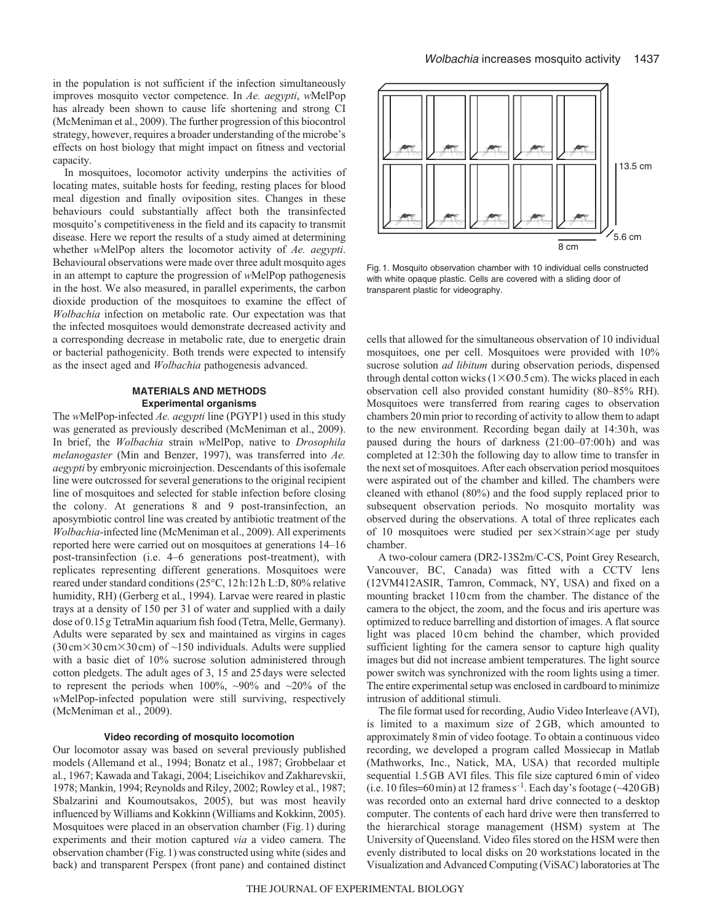in the population is not sufficient if the infection simultaneously improves mosquito vector competence. In *Ae. aegypti*, *w*MelPop has already been shown to cause life shortening and strong CI (McMeniman et al., 2009). The further progression of this biocontrol strategy, however, requires a broader understanding of the microbe's effects on host biology that might impact on fitness and vectorial capacity.

In mosquitoes, locomotor activity underpins the activities of locating mates, suitable hosts for feeding, resting places for blood meal digestion and finally oviposition sites. Changes in these behaviours could substantially affect both the transinfected mosquito's competitiveness in the field and its capacity to transmit disease. Here we report the results of a study aimed at determining whether *w*MelPop alters the locomotor activity of *Ae. aegypti*. Behavioural observations were made over three adult mosquito ages in an attempt to capture the progression of *w*MelPop pathogenesis in the host. We also measured, in parallel experiments, the carbon dioxide production of the mosquitoes to examine the effect of *Wolbachia* infection on metabolic rate. Our expectation was that the infected mosquitoes would demonstrate decreased activity and a corresponding decrease in metabolic rate, due to energetic drain or bacterial pathogenicity. Both trends were expected to intensify as the insect aged and *Wolbachia* pathogenesis advanced.

## **MATERIALS AND METHODS Experimental organisms**

The *w*MelPop-infected *Ae. aegypti* line (PGYP1) used in this study was generated as previously described (McMeniman et al., 2009). In brief, the *Wolbachia* strain *w*MelPop, native to *Drosophila melanogaster* (Min and Benzer, 1997), was transferred into *Ae. aegypti* by embryonic microinjection. Descendants of this isofemale line were outcrossed for several generations to the original recipient line of mosquitoes and selected for stable infection before closing the colony. At generations 8 and 9 post-transinfection, an aposymbiotic control line was created by antibiotic treatment of the *Wolbachia*-infected line (McMeniman et al., 2009). All experiments reported here were carried out on mosquitoes at generations 14–16 post-transinfection (i.e. 4–6 generations post-treatment), with replicates representing different generations. Mosquitoes were reared under standard conditions (25°C, 12h:12h L:D, 80% relative humidity, RH) (Gerberg et al., 1994). Larvae were reared in plastic trays at a density of 150 per 3l of water and supplied with a daily dose of 0.15g TetraMin aquarium fish food (Tetra, Melle, Germany). Adults were separated by sex and maintained as virgins in cages  $(30 \text{ cm} \times 30 \text{ cm} \times 30 \text{ cm})$  of  $\sim 150$  individuals. Adults were supplied with a basic diet of 10% sucrose solution administered through cotton pledgets. The adult ages of 3, 15 and 25days were selected to represent the periods when  $100\%$ ,  $\sim 90\%$  and  $\sim 20\%$  of the *w*MelPop-infected population were still surviving, respectively (McMeniman et al., 2009).

#### **Video recording of mosquito locomotion**

Our locomotor assay was based on several previously published models (Allemand et al., 1994; Bonatz et al., 1987; Grobbelaar et al., 1967; Kawada and Takagi, 2004; Liseichikov and Zakharevskii, 1978; Mankin, 1994; Reynolds and Riley, 2002; Rowley et al., 1987; Sbalzarini and Koumoutsakos, 2005), but was most heavily influenced by Williams and Kokkinn (Williams and Kokkinn, 2005). Mosquitoes were placed in an observation chamber (Fig.1) during experiments and their motion captured *via* a video camera. The observation chamber (Fig.1) was constructed using white (sides and back) and transparent Perspex (front pane) and contained distinct



Fig. 1. Mosquito observation chamber with 10 individual cells constructed with white opaque plastic. Cells are covered with a sliding door of transparent plastic for videography.

cells that allowed for the simultaneous observation of 10 individual mosquitoes, one per cell. Mosquitoes were provided with 10% sucrose solution *ad libitum* during observation periods, dispensed through dental cotton wicks  $(1 \times 0.5 \text{ cm})$ . The wicks placed in each observation cell also provided constant humidity (80–85% RH). Mosquitoes were transferred from rearing cages to observation chambers 20min prior to recording of activity to allow them to adapt to the new environment. Recording began daily at 14:30h, was paused during the hours of darkness (21:00–07:00h) and was completed at 12:30h the following day to allow time to transfer in the next set of mosquitoes. After each observation period mosquitoes were aspirated out of the chamber and killed. The chambers were cleaned with ethanol (80%) and the food supply replaced prior to subsequent observation periods. No mosquito mortality was observed during the observations. A total of three replicates each of 10 mosquitoes were studied per sex×strain×age per study chamber.

A two-colour camera (DR2-13S2m/C-CS, Point Grey Research, Vancouver, BC, Canada) was fitted with a CCTV lens (12VM412ASIR, Tamron, Commack, NY, USA) and fixed on a mounting bracket 110cm from the chamber. The distance of the camera to the object, the zoom, and the focus and iris aperture was optimized to reduce barrelling and distortion of images. A flat source light was placed 10 cm behind the chamber, which provided sufficient lighting for the camera sensor to capture high quality images but did not increase ambient temperatures. The light source power switch was synchronized with the room lights using a timer. The entire experimental setup was enclosed in cardboard to minimize intrusion of additional stimuli.

The file format used for recording, Audio Video Interleave (AVI), is limited to a maximum size of 2 GB, which amounted to approximately 8min of video footage. To obtain a continuous video recording, we developed a program called Mossiecap in Matlab (Mathworks, Inc., Natick, MA, USA) that recorded multiple sequential 1.5GB AVI files. This file size captured 6min of video (i.e. 10 files=60 min) at 12 frames  $s^{-1}$ . Each day's footage (~420 GB) was recorded onto an external hard drive connected to a desktop computer. The contents of each hard drive were then transferred to the hierarchical storage management (HSM) system at The University of Queensland. Video files stored on the HSM were then evenly distributed to local disks on 20 workstations located in the Visualization and Advanced Computing (ViSAC) laboratories at The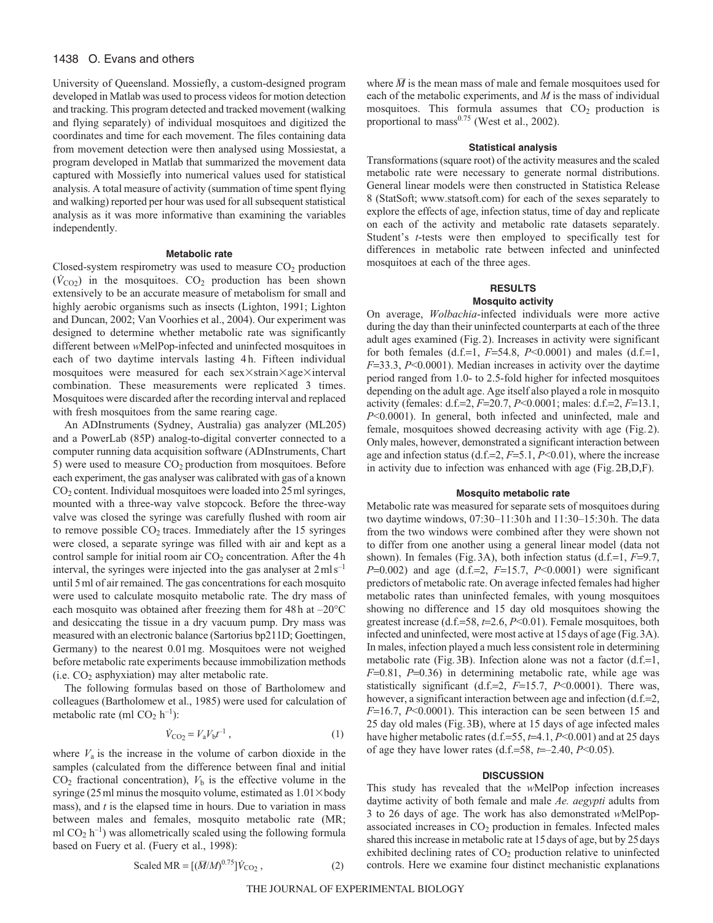## 1438 O. Evans and others

University of Queensland. Mossiefly, a custom-designed program developed in Matlab was used to process videos for motion detection and tracking. This program detected and tracked movement (walking and flying separately) of individual mosquitoes and digitized the coordinates and time for each movement. The files containing data from movement detection were then analysed using Mossiestat, a program developed in Matlab that summarized the movement data captured with Mossiefly into numerical values used for statistical analysis. A total measure of activity (summation of time spent flying and walking) reported per hour was used for all subsequent statistical analysis as it was more informative than examining the variables independently.

#### **Metabolic rate**

Closed-system respirometry was used to measure  $CO<sub>2</sub>$  production  $(\dot{V}_{CO_2})$  in the mosquitoes.  $CO_2$  production has been shown extensively to be an accurate measure of metabolism for small and highly aerobic organisms such as insects (Lighton, 1991; Lighton and Duncan, 2002; Van Voorhies et al., 2004). Our experiment was designed to determine whether metabolic rate was significantly different between *w*MelPop-infected and uninfected mosquitoes in each of two daytime intervals lasting 4 h. Fifteen individual mosquitoes were measured for each sex×strain×age×interval combination. These measurements were replicated 3 times. Mosquitoes were discarded after the recording interval and replaced with fresh mosquitoes from the same rearing cage.

An ADInstruments (Sydney, Australia) gas analyzer (ML205) and a PowerLab (85P) analog-to-digital converter connected to a computer running data acquisition software (ADInstruments, Chart 5) were used to measure  $CO<sub>2</sub>$  production from mosquitoes. Before each experiment, the gas analyser was calibrated with gas of a known CO2 content. Individual mosquitoes were loaded into 25ml syringes, mounted with a three-way valve stopcock. Before the three-way valve was closed the syringe was carefully flushed with room air to remove possible  $CO<sub>2</sub>$  traces. Immediately after the 15 syringes were closed, a separate syringe was filled with air and kept as a control sample for initial room air  $CO<sub>2</sub>$  concentration. After the 4h interval, the syringes were injected into the gas analyser at  $2 \text{ m/s}^{-1}$ until 5ml of air remained. The gas concentrations for each mosquito were used to calculate mosquito metabolic rate. The dry mass of each mosquito was obtained after freezing them for 48h at –20°C and desiccating the tissue in a dry vacuum pump. Dry mass was measured with an electronic balance (Sartorius bp211D; Goettingen, Germany) to the nearest 0.01mg. Mosquitoes were not weighed before metabolic rate experiments because immobilization methods (i.e.  $CO<sub>2</sub>$  asphyxiation) may alter metabolic rate.

The following formulas based on those of Bartholomew and colleagues (Bartholomew et al., 1985) were used for calculation of metabolic rate (ml  $CO<sub>2</sub> h<sup>-1</sup>$ ):

$$
\dot{V}_{\text{CO2}} = V_{\text{a}} V_{\text{b}} t^{-1} \,, \tag{1}
$$

where  $V_a$  is the increase in the volume of carbon dioxide in the samples (calculated from the difference between final and initial  $CO<sub>2</sub>$  fractional concentration),  $V<sub>b</sub>$  is the effective volume in the syringe  $(25 \text{ ml minus the mosquito volume, estimated as } 1.01 \times \text{body}$ mass), and *t* is the elapsed time in hours. Due to variation in mass between males and females, mosquito metabolic rate (MR; ml  $CO<sub>2</sub> h<sup>-1</sup>$ ) was allometrically scaled using the following formula based on Fuery et al. (Fuery et al., 1998):

$$
\text{Scaled MR} = \left[ \left( \overline{M} / M \right)^{0.75} \right] \dot{V}_{\text{CO}_2},\tag{2}
$$

where  $\overline{M}$  is the mean mass of male and female mosquitoes used for each of the metabolic experiments, and *M* is the mass of individual mosquitoes. This formula assumes that  $CO<sub>2</sub>$  production is proportional to mass $^{0.75}$  (West et al., 2002).

## **Statistical analysis**

Transformations (square root) of the activity measures and the scaled metabolic rate were necessary to generate normal distributions. General linear models were then constructed in Statistica Release 8 (StatSoft; www.statsoft.com) for each of the sexes separately to explore the effects of age, infection status, time of day and replicate on each of the activity and metabolic rate datasets separately. Student's *t*-tests were then employed to specifically test for differences in metabolic rate between infected and uninfected mosquitoes at each of the three ages.

## **RESULTS Mosquito activity**

On average, *Wolbachia*-infected individuals were more active during the day than their uninfected counterparts at each of the three adult ages examined (Fig.2). Increases in activity were significant for both females  $(d.f.=1, F=54.8, P<0.0001)$  and males  $(d.f.=1,$ *F*=33.3, *P*<0.0001). Median increases in activity over the daytime period ranged from 1.0- to 2.5-fold higher for infected mosquitoes depending on the adult age. Age itself also played a role in mosquito activity (females: d.f.=2, *F*=20.7, *P*<0.0001; males: d.f.=2, *F*=13.1, *P*<0.0001). In general, both infected and uninfected, male and female, mosquitoes showed decreasing activity with age (Fig.2). Only males, however, demonstrated a significant interaction between age and infection status (d.f.=2, *F*=5.1, *P*<0.01), where the increase in activity due to infection was enhanced with age (Fig.2B,D,F).

## **Mosquito metabolic rate**

Metabolic rate was measured for separate sets of mosquitoes during two daytime windows, 07:30–11:30h and 11:30–15:30h. The data from the two windows were combined after they were shown not to differ from one another using a general linear model (data not shown). In females (Fig.3A), both infection status (d.f.=1, *F*=9.7, *P*=0.002) and age (d.f.=2, *F*=15.7, *P*<0.0001) were significant predictors of metabolic rate. On average infected females had higher metabolic rates than uninfected females, with young mosquitoes showing no difference and 15 day old mosquitoes showing the greatest increase (d.f.=58, *t*=2.6, *P*<0.01). Female mosquitoes, both infected and uninfected, were most active at 15days of age (Fig.3A). In males, infection played a much less consistent role in determining metabolic rate (Fig.3B). Infection alone was not a factor (d.f.=1, *F*=0.81, *P*=0.36) in determining metabolic rate, while age was statistically significant (d.f.=2, *F*=15.7, *P*<0.0001). There was, however, a significant interaction between age and infection (d.f.=2, *F*=16.7, *P*<0.0001). This interaction can be seen between 15 and 25 day old males (Fig.3B), where at 15 days of age infected males have higher metabolic rates (d.f.=55, *t*=4.1, *P*<0.001) and at 25 days of age they have lower rates (d.f.=58, *t*=–2.40, *P*<0.05).

## **DISCUSSION**

This study has revealed that the *w*MelPop infection increases daytime activity of both female and male *Ae. aegypti* adults from 3 to 26 days of age. The work has also demonstrated *w*MelPopassociated increases in  $CO<sub>2</sub>$  production in females. Infected males shared this increase in metabolic rate at 15 days of age, but by 25 days exhibited declining rates of CO<sub>2</sub> production relative to uninfected controls. Here we examine four distinct mechanistic explanations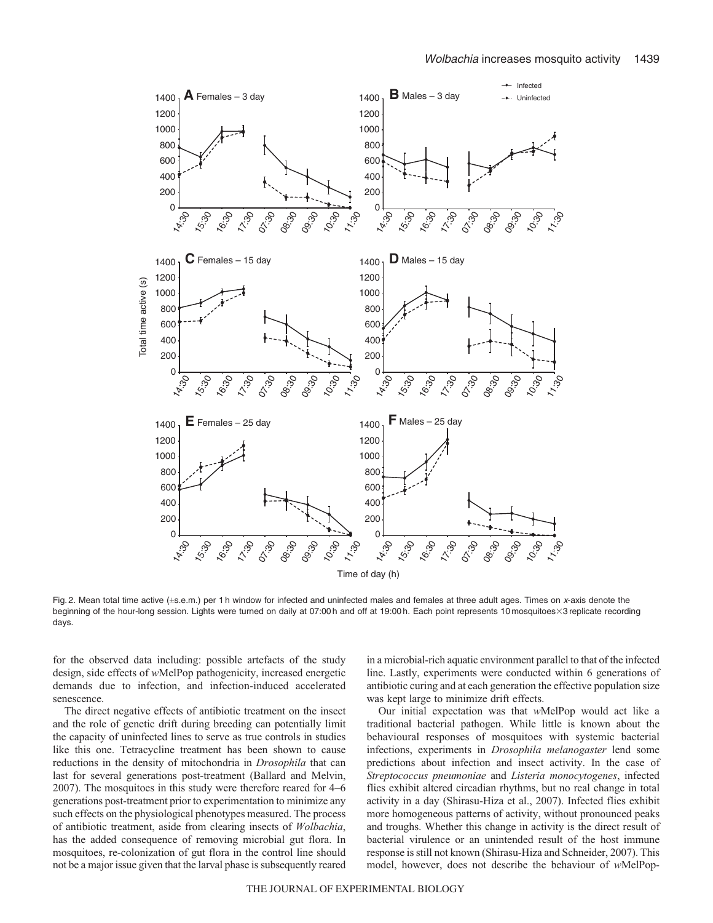

Fig. 2. Mean total time active (±s.e.m.) per 1 h window for infected and uninfected males and females at three adult ages. Times on x-axis denote the beginning of the hour-long session. Lights were turned on daily at 07:00 h and off at 19:00 h. Each point represents 10 mosquitoes-3 replicate recording days.

for the observed data including: possible artefacts of the study design, side effects of *w*MelPop pathogenicity, increased energetic demands due to infection, and infection-induced accelerated senescence.

The direct negative effects of antibiotic treatment on the insect and the role of genetic drift during breeding can potentially limit the capacity of uninfected lines to serve as true controls in studies like this one. Tetracycline treatment has been shown to cause reductions in the density of mitochondria in *Drosophila* that can last for several generations post-treatment (Ballard and Melvin, 2007). The mosquitoes in this study were therefore reared for 4–6 generations post-treatment prior to experimentation to minimize any such effects on the physiological phenotypes measured. The process of antibiotic treatment, aside from clearing insects of *Wolbachia*, has the added consequence of removing microbial gut flora. In mosquitoes, re-colonization of gut flora in the control line should not be a major issue given that the larval phase is subsequently reared in a microbial-rich aquatic environment parallel to that of the infected line. Lastly, experiments were conducted within 6 generations of antibiotic curing and at each generation the effective population size was kept large to minimize drift effects.

Our initial expectation was that *w*MelPop would act like a traditional bacterial pathogen. While little is known about the behavioural responses of mosquitoes with systemic bacterial infections, experiments in *Drosophila melanogaster* lend some predictions about infection and insect activity. In the case of *Streptococcus pneumoniae* and *Listeria monocytogenes*, infected flies exhibit altered circadian rhythms, but no real change in total activity in a day (Shirasu-Hiza et al., 2007). Infected flies exhibit more homogeneous patterns of activity, without pronounced peaks and troughs. Whether this change in activity is the direct result of bacterial virulence or an unintended result of the host immune response is still not known (Shirasu-Hiza and Schneider, 2007). This model, however, does not describe the behaviour of *w*MelPop-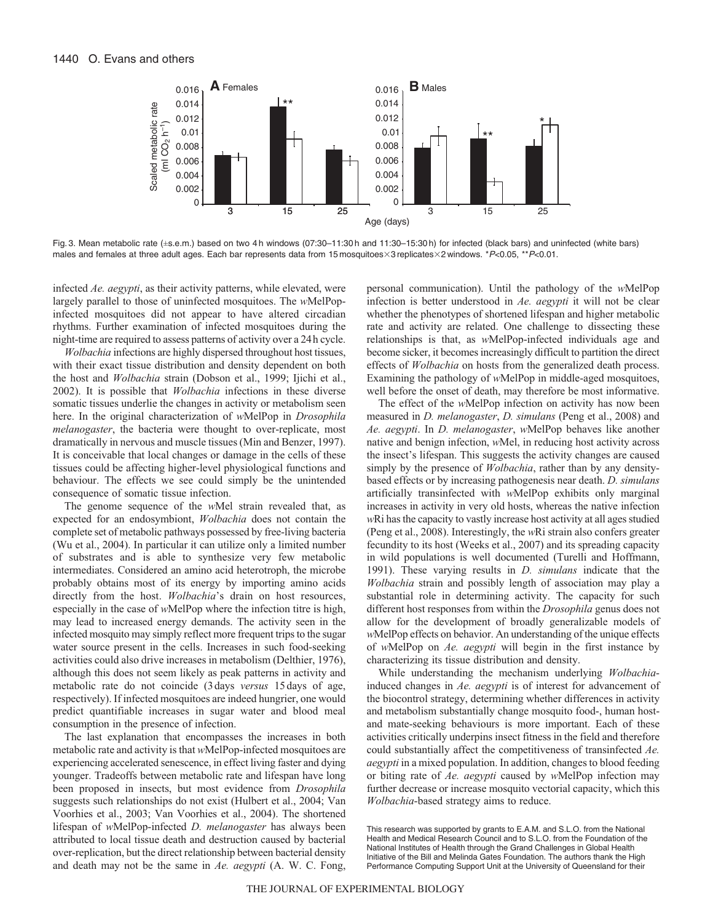

Fig. 3. Mean metabolic rate (±s.e.m.) based on two 4 h windows (07:30–11:30 h and 11:30–15:30 h) for infected (black bars) and uninfected (white bars) males and females at three adult ages. Each bar represents data from 15 mosquitoes×3 replicates×2 windows. \*P<0.05, \*\*P<0.01.

infected *Ae. aegypti*, as their activity patterns, while elevated, were largely parallel to those of uninfected mosquitoes. The *w*MelPopinfected mosquitoes did not appear to have altered circadian rhythms. Further examination of infected mosquitoes during the night-time are required to assess patterns of activity over a 24h cycle.

*Wolbachia* infections are highly dispersed throughout host tissues, with their exact tissue distribution and density dependent on both the host and *Wolbachia* strain (Dobson et al., 1999; Ijichi et al., 2002). It is possible that *Wolbachia* infections in these diverse somatic tissues underlie the changes in activity or metabolism seen here. In the original characterization of *w*MelPop in *Drosophila melanogaster*, the bacteria were thought to over-replicate, most dramatically in nervous and muscle tissues (Min and Benzer, 1997). It is conceivable that local changes or damage in the cells of these tissues could be affecting higher-level physiological functions and behaviour. The effects we see could simply be the unintended consequence of somatic tissue infection.

The genome sequence of the *w*Mel strain revealed that, as expected for an endosymbiont, *Wolbachia* does not contain the complete set of metabolic pathways possessed by free-living bacteria (Wu et al., 2004). In particular it can utilize only a limited number of substrates and is able to synthesize very few metabolic intermediates. Considered an amino acid heterotroph, the microbe probably obtains most of its energy by importing amino acids directly from the host. *Wolbachia*'s drain on host resources, especially in the case of *w*MelPop where the infection titre is high, may lead to increased energy demands. The activity seen in the infected mosquito may simply reflect more frequent trips to the sugar water source present in the cells. Increases in such food-seeking activities could also drive increases in metabolism (Delthier, 1976), although this does not seem likely as peak patterns in activity and metabolic rate do not coincide (3days *versus* 15days of age, respectively). If infected mosquitoes are indeed hungrier, one would predict quantifiable increases in sugar water and blood meal consumption in the presence of infection.

The last explanation that encompasses the increases in both metabolic rate and activity is that *w*MelPop-infected mosquitoes are experiencing accelerated senescence, in effect living faster and dying younger. Tradeoffs between metabolic rate and lifespan have long been proposed in insects, but most evidence from *Drosophila* suggests such relationships do not exist (Hulbert et al., 2004; Van Voorhies et al., 2003; Van Voorhies et al., 2004). The shortened lifespan of *w*MelPop-infected *D. melanogaster* has always been attributed to local tissue death and destruction caused by bacterial over-replication, but the direct relationship between bacterial density and death may not be the same in *Ae. aegypti* (A. W. C. Fong, personal communication). Until the pathology of the *w*MelPop infection is better understood in *Ae. aegypti* it will not be clear whether the phenotypes of shortened lifespan and higher metabolic rate and activity are related. One challenge to dissecting these relationships is that, as *w*MelPop-infected individuals age and become sicker, it becomes increasingly difficult to partition the direct effects of *Wolbachia* on hosts from the generalized death process. Examining the pathology of *w*MelPop in middle-aged mosquitoes, well before the onset of death, may therefore be most informative.

The effect of the *w*MelPop infection on activity has now been measured in *D. melanogaster*, *D. simulans* (Peng et al., 2008) and *Ae. aegypti*. In *D. melanogaster*, *w*MelPop behaves like another native and benign infection, *w*Mel, in reducing host activity across the insect's lifespan. This suggests the activity changes are caused simply by the presence of *Wolbachia*, rather than by any densitybased effects or by increasing pathogenesis near death. *D. simulans* artificially transinfected with *w*MelPop exhibits only marginal increases in activity in very old hosts, whereas the native infection *w*Ri has the capacity to vastly increase host activity at all ages studied (Peng et al., 2008). Interestingly, the *w*Ri strain also confers greater fecundity to its host (Weeks et al., 2007) and its spreading capacity in wild populations is well documented (Turelli and Hoffmann, 1991). These varying results in *D. simulans* indicate that the *Wolbachia* strain and possibly length of association may play a substantial role in determining activity. The capacity for such different host responses from within the *Drosophila* genus does not allow for the development of broadly generalizable models of *w*MelPop effects on behavior. An understanding of the unique effects of *w*MelPop on *Ae. aegypti* will begin in the first instance by characterizing its tissue distribution and density.

While understanding the mechanism underlying *Wolbachia*induced changes in *Ae. aegypti* is of interest for advancement of the biocontrol strategy, determining whether differences in activity and metabolism substantially change mosquito food-, human hostand mate-seeking behaviours is more important. Each of these activities critically underpins insect fitness in the field and therefore could substantially affect the competitiveness of transinfected *Ae. aegypti* in a mixed population. In addition, changes to blood feeding or biting rate of *Ae. aegypti* caused by *w*MelPop infection may further decrease or increase mosquito vectorial capacity, which this *Wolbachia*-based strategy aims to reduce.

This research was supported by grants to E.A.M. and S.L.O. from the National Health and Medical Research Council and to S.L.O. from the Foundation of the National Institutes of Health through the Grand Challenges in Global Health Initiative of the Bill and Melinda Gates Foundation. The authors thank the High Performance Computing Support Unit at the University of Queensland for their